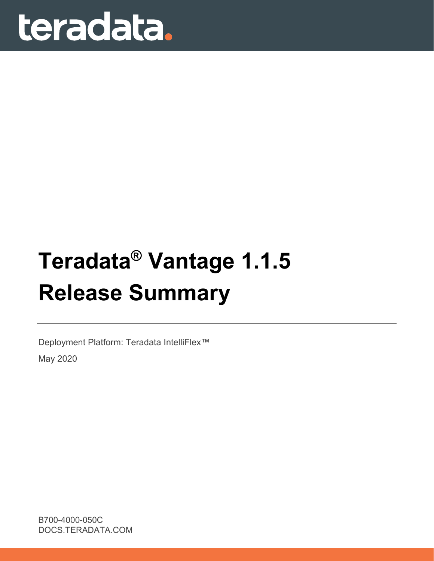# teradata.

## **Teradata® Vantage 1.1.5 Release Summary**

Deployment Platform: Teradata IntelliFlex™ May 2020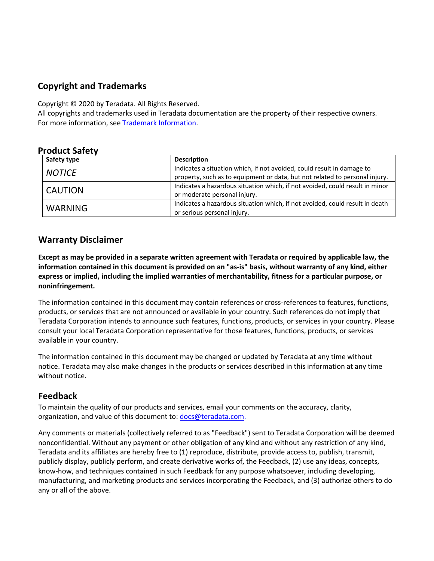#### **Copyright and Trademarks**

Copyright © 2020 by Teradata. All Rights Reserved.

All copyrights and trademarks used in Teradata documentation are the property of their respective owners. For more information, see [Trademark Information](https://docs.teradata.com/access/sources/dita/map?dita:mapPath=wbc1537988759565.ditamap).

#### **Product Safety**

| Safety type    | <b>Description</b>                                                           |
|----------------|------------------------------------------------------------------------------|
| <b>NOTICE</b>  | Indicates a situation which, if not avoided, could result in damage to       |
|                | property, such as to equipment or data, but not related to personal injury.  |
|                | Indicates a hazardous situation which, if not avoided, could result in minor |
| <b>CAUTION</b> | or moderate personal injury.                                                 |
|                | Indicates a hazardous situation which, if not avoided, could result in death |
| <b>WARNING</b> | or serious personal injury.                                                  |

#### **Warranty Disclaimer**

**Except as may be provided in a separate written agreement with Teradata or required by applicable law, the information contained in this document is provided on an "as-is" basis, without warranty of any kind, either express or implied, including the implied warranties of merchantability, fitness for a particular purpose, or noninfringement.**

The information contained in this document may contain references or cross-references to features, functions, products, or services that are not announced or available in your country. Such references do not imply that Teradata Corporation intends to announce such features, functions, products, or services in your country. Please consult your local Teradata Corporation representative for those features, functions, products, or services available in your country.

The information contained in this document may be changed or updated by Teradata at any time without notice. Teradata may also make changes in the products or services described in this information at any time without notice.

#### **Feedback**

To maintain the quality of our products and services, email your comments on the accuracy, clarity, organization, and value of this document to: [docs@teradata.com](mailto:docs@teradata.com).

Any comments or materials (collectively referred to as "Feedback") sent to Teradata Corporation will be deemed nonconfidential. Without any payment or other obligation of any kind and without any restriction of any kind, Teradata and its affiliates are hereby free to (1) reproduce, distribute, provide access to, publish, transmit, publicly display, publicly perform, and create derivative works of, the Feedback, (2) use any ideas, concepts, know-how, and techniques contained in such Feedback for any purpose whatsoever, including developing, manufacturing, and marketing products and services incorporating the Feedback, and (3) authorize others to do any or all of the above.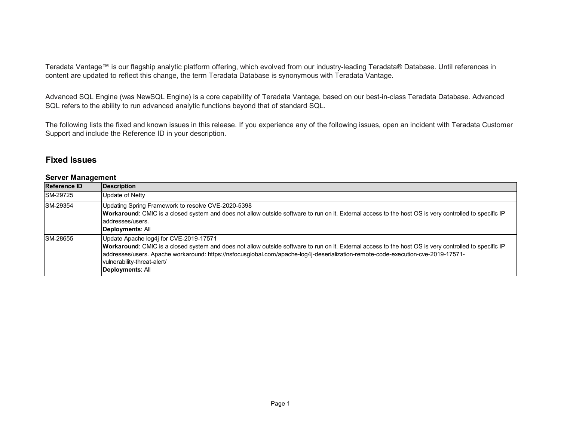Teradata Vantage™ is our flagship analytic platform offering, which evolved from our industry-leading Teradata® Database. Until references in content are updated to reflect this change, the term Teradata Database is synonymous with Teradata Vantage.

Advanced SQL Engine (was NewSQL Engine) is a core capability of Teradata Vantage, based on our best-in-class Teradata Database. Advanced SQL refers to the ability to run advanced analytic functions beyond that of standard SQL.

The following lists the fixed and known issues in this release. If you experience any of the following issues, open an incident with Teradata Customer Support and include the Reference ID in your description.

#### **Fixed Issues**

#### **Server Management**

| <b>Reference ID</b> | <b>Description</b>                                                                                                                                                                                                                                                                                                                                                                      |
|---------------------|-----------------------------------------------------------------------------------------------------------------------------------------------------------------------------------------------------------------------------------------------------------------------------------------------------------------------------------------------------------------------------------------|
| <b>SM-29725</b>     | Update of Netty                                                                                                                                                                                                                                                                                                                                                                         |
| SM-29354            | Updating Spring Framework to resolve CVE-2020-5398<br>Workaround: CMIC is a closed system and does not allow outside software to run on it. External access to the host OS is very controlled to specific IP<br>addresses/users.<br>Deployments: All                                                                                                                                    |
| <b>SM-28655</b>     | Update Apache log4j for CVE-2019-17571<br>Workaround: CMIC is a closed system and does not allow outside software to run on it. External access to the host OS is very controlled to specific IP<br>addresses/users. Apache workaround: https://nsfocusglobal.com/apache-log4j-deserialization-remote-code-execution-cve-2019-17571-<br>vulnerability-threat-alert/<br>Deployments: All |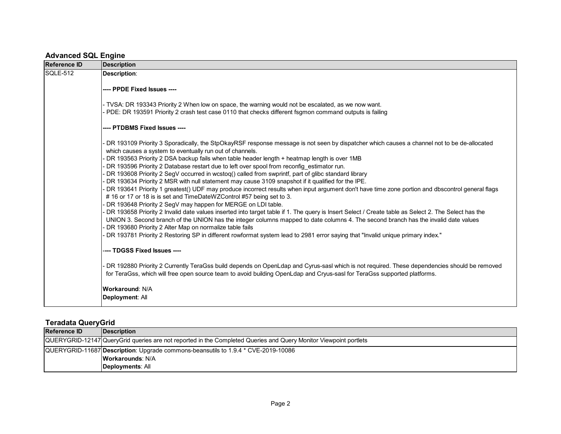#### **Advanced SQL Engine**

| Reference ID | Description                                                                                                                                                                                                                                                                                                                                                                                                                                                                                                                                                                                                                                                                                                                                                                                                                                                                                                                                                                                                                                                                                                                                                                                                                                                                                                                                                                                                                         |
|--------------|-------------------------------------------------------------------------------------------------------------------------------------------------------------------------------------------------------------------------------------------------------------------------------------------------------------------------------------------------------------------------------------------------------------------------------------------------------------------------------------------------------------------------------------------------------------------------------------------------------------------------------------------------------------------------------------------------------------------------------------------------------------------------------------------------------------------------------------------------------------------------------------------------------------------------------------------------------------------------------------------------------------------------------------------------------------------------------------------------------------------------------------------------------------------------------------------------------------------------------------------------------------------------------------------------------------------------------------------------------------------------------------------------------------------------------------|
| SQLE-512     | <b>Description:</b>                                                                                                                                                                                                                                                                                                                                                                                                                                                                                                                                                                                                                                                                                                                                                                                                                                                                                                                                                                                                                                                                                                                                                                                                                                                                                                                                                                                                                 |
|              | ---- PPDE Fixed Issues ----                                                                                                                                                                                                                                                                                                                                                                                                                                                                                                                                                                                                                                                                                                                                                                                                                                                                                                                                                                                                                                                                                                                                                                                                                                                                                                                                                                                                         |
|              | - TVSA: DR 193343 Priority 2 When low on space, the warning would not be escalated, as we now want.<br>PDE: DR 193591 Priority 2 crash test case 0110 that checks different fsgmon command outputs is failing                                                                                                                                                                                                                                                                                                                                                                                                                                                                                                                                                                                                                                                                                                                                                                                                                                                                                                                                                                                                                                                                                                                                                                                                                       |
|              | ---- PTDBMS Fixed Issues ----                                                                                                                                                                                                                                                                                                                                                                                                                                                                                                                                                                                                                                                                                                                                                                                                                                                                                                                                                                                                                                                                                                                                                                                                                                                                                                                                                                                                       |
|              | DR 193109 Priority 3 Sporadically, the StpOkayRSF response message is not seen by dispatcher which causes a channel not to be de-allocated<br>which causes a system to eventually run out of channels.<br>DR 193563 Priority 2 DSA backup fails when table header length + heatmap length is over 1MB<br>DR 193596 Priority 2 Database restart due to left over spool from reconfig estimator run.<br>DR 193608 Priority 2 SegV occurred in wcstoq() called from swprintf, part of glibc standard library<br>DR 193634 Priority 2 MSR with null statement may cause 3109 snapshot if it qualified for the IPE.<br>DR 193641 Priority 1 greatest() UDF may produce incorrect results when input argument don't have time zone portion and dbscontrol general flags<br>#16 or 17 or 18 is is set and TimeDateWZControl #57 being set to 3.<br>DR 193648 Priority 2 SegV may happen for MERGE on LDI table.<br>DR 193658 Priority 2 Invalid date values inserted into target table if 1. The query is Insert Select / Create table as Select 2. The Select has the<br>UNION 3. Second branch of the UNION has the integer columns mapped to date columns 4. The second branch has the invalid date values<br>DR 193680 Priority 2 Alter Map on normalize table fails<br>DR 193781 Priority 2 Restoring SP in different rowformat system lead to 2981 error saying that "Invalid unique primary index."<br>---- TDGSS Fixed Issues ---- |
|              | DR 192880 Priority 2 Currently TeraGss build depends on OpenLdap and Cyrus-sasl which is not required. These dependencies should be removed<br>for TeraGss, which will free open source team to avoid building OpenLdap and Cryus-sasl for TeraGss supported platforms.                                                                                                                                                                                                                                                                                                                                                                                                                                                                                                                                                                                                                                                                                                                                                                                                                                                                                                                                                                                                                                                                                                                                                             |
|              | <b>Workaround: N/A</b><br>Deployment: All                                                                                                                                                                                                                                                                                                                                                                                                                                                                                                                                                                                                                                                                                                                                                                                                                                                                                                                                                                                                                                                                                                                                                                                                                                                                                                                                                                                           |

#### **Teradata QueryGrid**

| <b>Reference ID</b> | <b>Description</b>                                                                                               |
|---------------------|------------------------------------------------------------------------------------------------------------------|
|                     | QUERYGRID-12147 QueryGrid queries are not reported in the Completed Queries and Query Monitor Viewpoint portlets |
|                     | QUERYGRID-11687 Description: Upgrade commons-beansutils to 1.9.4 * CVE-2019-10086                                |
|                     | <b>Workarounds: N/A</b>                                                                                          |
|                     | Deployments: All                                                                                                 |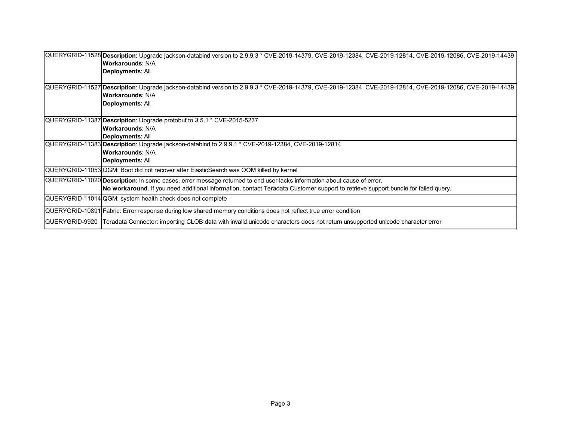|                | QUERYGRID-11528 Description: Upgrade jackson-databind version to 2.9.9.3 * CVE-2019-14379, CVE-2019-12384, CVE-2019-12814, CVE-2019-12086, CVE-2019-14439<br><b>Workarounds: N/A</b><br>Deployments: All                                                    |
|----------------|-------------------------------------------------------------------------------------------------------------------------------------------------------------------------------------------------------------------------------------------------------------|
|                | QUERYGRID-11527 Description: Upgrade jackson-databind version to 2.9.9.3 * CVE-2019-14379, CVE-2019-12384, CVE-2019-12814, CVE-2019-12086, CVE-2019-14439<br><b>Workarounds: N/A</b><br>Deployments: All                                                    |
|                | QUERYGRID-11387 Description: Upgrade protobuf to 3.5.1 * CVE-2015-5237<br><b>Workarounds: N/A</b><br>Deployments: All                                                                                                                                       |
|                | QUERYGRID-11383 Description: Upgrade jackson-databind to 2.9.9.1 * CVE-2019-12384, CVE-2019-12814<br><b>Workarounds: N/A</b><br>Deployments: All                                                                                                            |
|                | QUERYGRID-11053 QGM: Boot did not recover after ElasticSearch was OOM killed by kernel                                                                                                                                                                      |
|                | QUERYGRID-11020 Description: In some cases, error message returned to end user lacks information about cause of error.<br>No workaround. If you need additional information, contact Teradata Customer support to retrieve support bundle for failed query. |
|                | QUERYGRID-11014 QGM: system health check does not complete                                                                                                                                                                                                  |
|                | QUERYGRID-10891 Fabric: Error response during low shared memory conditions does not reflect true error condition                                                                                                                                            |
| QUERYGRID-9920 | Teradata Connector: importing CLOB data with invalid unicode characters does not return unsupported unicode character error                                                                                                                                 |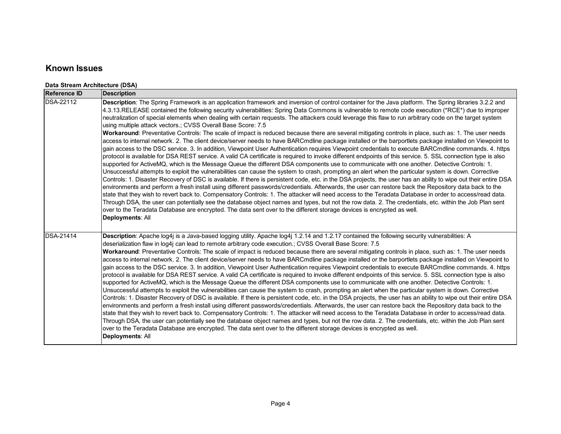#### **Known Issues**

#### **Data Stream Architecture (DSA)**

| <b>Reference ID</b> | <b>Description</b>                                                                                                                                                                                                                                                                                                                                                                                                                                                                                                                                                                                                                                                                                                                                                                                                                                                                                                                                                                                                                                                                                                                                                                                                                                                                                                                                                                                                                                                                                                                                                                                                                                                                                                                                                                                                                                                                                                                                                                                                                                                                                                                                                                                                                                                                          |
|---------------------|---------------------------------------------------------------------------------------------------------------------------------------------------------------------------------------------------------------------------------------------------------------------------------------------------------------------------------------------------------------------------------------------------------------------------------------------------------------------------------------------------------------------------------------------------------------------------------------------------------------------------------------------------------------------------------------------------------------------------------------------------------------------------------------------------------------------------------------------------------------------------------------------------------------------------------------------------------------------------------------------------------------------------------------------------------------------------------------------------------------------------------------------------------------------------------------------------------------------------------------------------------------------------------------------------------------------------------------------------------------------------------------------------------------------------------------------------------------------------------------------------------------------------------------------------------------------------------------------------------------------------------------------------------------------------------------------------------------------------------------------------------------------------------------------------------------------------------------------------------------------------------------------------------------------------------------------------------------------------------------------------------------------------------------------------------------------------------------------------------------------------------------------------------------------------------------------------------------------------------------------------------------------------------------------|
| <b>DSA-22112</b>    | Description: The Spring Framework is an application framework and inversion of control container for the Java platform. The Spring libraries 3.2.2 and<br>4.3.13.RELEASE contained the following security vulnerabilities: Spring Data Commons is vulnerable to remote code execution (*RCE*) due to improper<br>neutralization of special elements when dealing with certain requests. The attackers could leverage this flaw to run arbitrary code on the target system<br>using multiple attack vectors.; CVSS Overall Base Score: 7.5<br>Workaround: Preventative Controls: The scale of impact is reduced because there are several mitigating controls in place, such as: 1. The user needs<br>access to internal network. 2. The client device/server needs to have BARCmdline package installed or the barportlets package installed on Viewpoint to<br>gain access to the DSC service. 3. In addition, Viewpoint User Authentication requires Viewpoint credentials to execute BARCmdline commands. 4. https<br>protocol is available for DSA REST service. A valid CA certificate is required to invoke different endpoints of this service. 5. SSL connection type is also<br>supported for ActiveMQ, which is the Message Queue the different DSA components use to communicate with one another. Detective Controls: 1.<br>Unsuccessful attempts to exploit the vulnerabilities can cause the system to crash, prompting an alert when the particular system is down. Corrective<br>Controls: 1. Disaster Recovery of DSC is available. If there is persistent code, etc. in the DSA projects, the user has an ability to wipe out their entire DSA<br>environments and perform a fresh install using different passwords/credentials. Afterwards, the user can restore back the Repository data back to the<br>state that they wish to revert back to. Compensatory Controls: 1. The attacker will need access to the Teradata Database in order to access/read data.<br>Through DSA, the user can potentially see the database object names and types, but not the row data. 2. The credentials, etc. within the Job Plan sent<br>over to the Teradata Database are encrypted. The data sent over to the different storage devices is encrypted as well.<br>Deployments: All |
| <b>DSA-21414</b>    | Description: Apache log4j is a Java-based logging utility. Apache log4j 1.2.14 and 1.2.17 contained the following security vulnerabilities: A<br>deserialization flaw in log4j can lead to remote arbitrary code execution.; CVSS Overall Base Score: 7.5<br>Workaround: Preventative Controls: The scale of impact is reduced because there are several mitigating controls in place, such as: 1. The user needs<br>access to internal network. 2. The client device/server needs to have BARCmdline package installed or the barportlets package installed on Viewpoint to<br>gain access to the DSC service. 3. In addition, Viewpoint User Authentication requires Viewpoint credentials to execute BARCmdline commands. 4. https<br>protocol is available for DSA REST service. A valid CA certificate is required to invoke different endpoints of this service. 5. SSL connection type is also<br>supported for ActiveMQ, which is the Message Queue the different DSA components use to communicate with one another. Detective Controls: 1.<br>Unsuccessful attempts to exploit the vulnerabilities can cause the system to crash, prompting an alert when the particular system is down. Corrective<br>Controls: 1. Disaster Recovery of DSC is available. If there is persistent code, etc. in the DSA projects, the user has an ability to wipe out their entire DSA<br>environments and perform a fresh install using different passwords/credentials. Afterwards, the user can restore back the Repository data back to the<br>state that they wish to revert back to. Compensatory Controls: 1. The attacker will need access to the Teradata Database in order to access/read data.<br>Through DSA, the user can potentially see the database object names and types, but not the row data. 2. The credentials, etc. within the Job Plan sent<br>over to the Teradata Database are encrypted. The data sent over to the different storage devices is encrypted as well.<br>Deployments: All                                                                                                                                                                                                                                                                                 |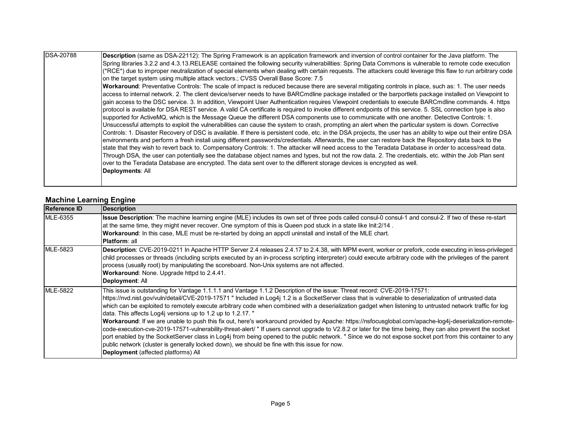| <b>DSA-20788</b> | Description (same as DSA-22112): The Spring Framework is an application framework and inversion of control container for the Java platform. The<br>Spring libraries 3.2.2 and 4.3.13.RELEASE contained the following security vulnerabilities: Spring Data Commons is vulnerable to remote code execution |
|------------------|-----------------------------------------------------------------------------------------------------------------------------------------------------------------------------------------------------------------------------------------------------------------------------------------------------------|
|                  |                                                                                                                                                                                                                                                                                                           |
|                  | (*RCE*) due to improper neutralization of special elements when dealing with certain requests. The attackers could leverage this flaw to run arbitrary code                                                                                                                                               |
|                  | on the target system using multiple attack vectors.; CVSS Overall Base Score: 7.5                                                                                                                                                                                                                         |
|                  | Workaround: Preventative Controls: The scale of impact is reduced because there are several mitigating controls in place, such as: 1. The user needs                                                                                                                                                      |
|                  | access to internal network. 2. The client device/server needs to have BARCmdline package installed or the barportlets package installed on Viewpoint to                                                                                                                                                   |
|                  | gain access to the DSC service. 3. In addition, Viewpoint User Authentication requires Viewpoint credentials to execute BARCmdline commands. 4. https                                                                                                                                                     |
|                  | protocol is available for DSA REST service. A valid CA certificate is required to invoke different endpoints of this service. 5. SSL connection type is also                                                                                                                                              |
|                  | supported for ActiveMQ, which is the Message Queue the different DSA components use to communicate with one another. Detective Controls: 1.                                                                                                                                                               |
|                  | Unsuccessful attempts to exploit the vulnerabilities can cause the system to crash, prompting an alert when the particular system is down. Corrective                                                                                                                                                     |
|                  | Controls: 1. Disaster Recovery of DSC is available. If there is persistent code, etc. in the DSA projects, the user has an ability to wipe out their entire DSA                                                                                                                                           |
|                  | environments and perform a fresh install using different passwords/credentials. Afterwards, the user can restore back the Repository data back to the                                                                                                                                                     |
|                  | state that they wish to revert back to. Compensatory Controls: 1. The attacker will need access to the Teradata Database in order to access/read data.                                                                                                                                                    |
|                  | Through DSA, the user can potentially see the database object names and types, but not the row data. 2. The credentials, etc. within the Job Plan sent                                                                                                                                                    |
|                  |                                                                                                                                                                                                                                                                                                           |
|                  | over to the Teradata Database are encrypted. The data sent over to the different storage devices is encrypted as well.                                                                                                                                                                                    |
|                  | Deployments: All                                                                                                                                                                                                                                                                                          |
|                  |                                                                                                                                                                                                                                                                                                           |

#### **Machine Learning Engine**

| <b>Reference ID</b> | <b>Description</b>                                                                                                                                                                                                                                                                                                                                                                                                                                                                                                                                                                                                                                                                                                                                                                                                                                                                                                                                                                                                                                                                                                                                 |
|---------------------|----------------------------------------------------------------------------------------------------------------------------------------------------------------------------------------------------------------------------------------------------------------------------------------------------------------------------------------------------------------------------------------------------------------------------------------------------------------------------------------------------------------------------------------------------------------------------------------------------------------------------------------------------------------------------------------------------------------------------------------------------------------------------------------------------------------------------------------------------------------------------------------------------------------------------------------------------------------------------------------------------------------------------------------------------------------------------------------------------------------------------------------------------|
| <b>MLE-6355</b>     | Issue Description: The machine learning engine (MLE) includes its own set of three pods called consul-0 consul-1 and consul-2. If two of these re-start<br>at the same time, they might never recover. One symptom of this is Queen pod stuck in a state like Init:2/14.<br>Workaround: In this case, MLE must be re-started by doing an appctl uninstall and install of the MLE chart.<br><b>Platform</b> : all                                                                                                                                                                                                                                                                                                                                                                                                                                                                                                                                                                                                                                                                                                                                   |
| <b>MLE-5823</b>     | Description: CVE-2019-0211 In Apache HTTP Server 2.4 releases 2.4.17 to 2.4.38, with MPM event, worker or prefork, code executing in less-privileged<br>child processes or threads (including scripts executed by an in-process scripting interpreter) could execute arbitrary code with the privileges of the parent<br>process (usually root) by manipulating the scoreboard. Non-Unix systems are not affected.<br>Workaround: None. Upgrade httpd to 2.4.41.<br>Deployment: All                                                                                                                                                                                                                                                                                                                                                                                                                                                                                                                                                                                                                                                                |
| MLE-5822            | This issue is outstanding for Vantage 1.1.1.1 and Vantage 1.1.2 Description of the issue: Threat record: CVE-2019-17571:<br>https://nvd.nist.gov/vuln/detail/CVE-2019-17571 " Included in Log4j 1.2 is a SocketServer class that is vulnerable to deserialization of untrusted data<br>which can be exploited to remotely execute arbitrary code when combined with a deserialization gadget when listening to untrusted network traffic for log<br>data. This affects Log4 versions up to 1.2 up to 1.2.17. "<br>Workaround: If we are unable to push this fix out, here's workaround provided by Apache: https://nsfocusglobal.com/apache-log4j-deserialization-remote-<br>code-execution-cve-2019-17571-vulnerability-threat-alert/" If users cannot upgrade to V2.8.2 or later for the time being, they can also prevent the socket<br>port enabled by the SocketServer class in Log4j from being opened to the public network. " Since we do not expose socket port from this container to any<br>public network (cluster is generally locked down), we should be fine with this issue for now.<br><b>Deployment</b> (affected platforms) All |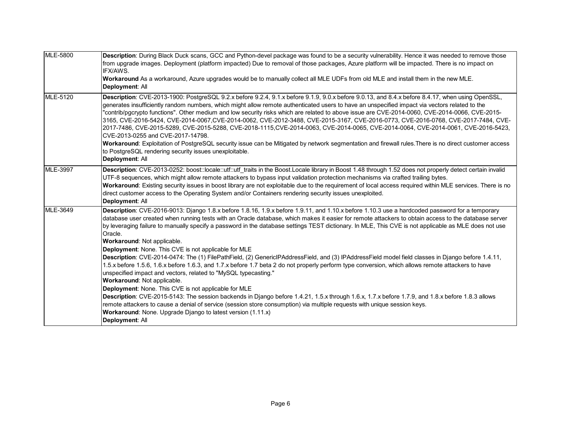| <b>MLE-5800</b> | Description: During Black Duck scans, GCC and Python-devel package was found to be a security vulnerability. Hence it was needed to remove those<br>from upgrade images. Deployment (platform impacted) Due to removal of those packages, Azure platform will be impacted. There is no impact on<br>IFX/AWS.<br>Workaround As a workaround, Azure upgrades would be to manually collect all MLE UDFs from old MLE and install them in the new MLE.<br>Deployment: All                                                                                                                                                                                                                                                                                                                                                                                                                                                                                                                                                                                                                                                                                                                                                                                                                                                                                                                                     |
|-----------------|-----------------------------------------------------------------------------------------------------------------------------------------------------------------------------------------------------------------------------------------------------------------------------------------------------------------------------------------------------------------------------------------------------------------------------------------------------------------------------------------------------------------------------------------------------------------------------------------------------------------------------------------------------------------------------------------------------------------------------------------------------------------------------------------------------------------------------------------------------------------------------------------------------------------------------------------------------------------------------------------------------------------------------------------------------------------------------------------------------------------------------------------------------------------------------------------------------------------------------------------------------------------------------------------------------------------------------------------------------------------------------------------------------------|
| MLE-5120        | Description: CVE-2013-1900: PostgreSQL 9.2.x before 9.2.4, 9.1.x before 9.1.9, 9.0.x before 9.0.13, and 8.4.x before 8.4.17, when using OpenSSL,<br>generates insufficiently random numbers, which might allow remote authenticated users to have an unspecified impact via vectors related to the<br>"contrib/pgcrypto functions". Other medium and low security risks which are related to above issue are CVE-2014-0060, CVE-2014-0066, CVE-2015-<br>3165, CVE-2016-5424, CVE-2014-0067, CVE-2014-0062, CVE-2012-3488, CVE-2015-3167, CVE-2016-0773, CVE-2016-0768, CVE-2017-7484, CVE-<br>2017-7486, CVE-2015-5289, CVE-2015-5288, CVE-2018-1115, CVE-2014-0063, CVE-2014-0065, CVE-2014-0064, CVE-2014-0061, CVE-2016-5423,<br>CVE-2013-0255 and CVE-2017-14798.<br>Workaround: Exploitation of PostgreSQL security issue can be Mitigated by network segmentation and firewall rules. There is no direct customer access<br>to PostgreSQL rendering security issues unexploitable.                                                                                                                                                                                                                                                                                                                                                                                                                  |
| <b>MLE-3997</b> | Deployment: All<br>Description: CVE-2013-0252: boost::locale::utf::utf traits in the Boost.Locale library in Boost 1.48 through 1.52 does not properly detect certain invalid<br>UTF-8 sequences, which might allow remote attackers to bypass input validation protection mechanisms via crafted trailing bytes.<br>Workaround: Existing security issues in boost library are not exploitable due to the requirement of local access required within MLE services. There is no<br>direct customer access to the Operating System and/or Containers rendering security issues unexploited.<br>Deployment: All                                                                                                                                                                                                                                                                                                                                                                                                                                                                                                                                                                                                                                                                                                                                                                                             |
| MLE-3649        | Description: CVE-2016-9013: Django 1.8.x before 1.8.16, 1.9.x before 1.9.11, and 1.10.x before 1.10.3 use a hardcoded password for a temporary<br>database user created when running tests with an Oracle database, which makes it easier for remote attackers to obtain access to the database server<br>by leveraging failure to manually specify a password in the database settings TEST dictionary. In MLE, This CVE is not applicable as MLE does not use<br>Oracle.<br>Workaround: Not applicable.<br>Deployment: None. This CVE is not applicable for MLE<br>Description: CVE-2014-0474: The (1) FilePathField, (2) GenericlPAddressField, and (3) IPAddressField model field classes in Django before 1.4.11,<br>1.5.x before 1.5.6, 1.6.x before 1.6.3, and 1.7.x before 1.7 beta 2 do not properly perform type conversion, which allows remote attackers to have<br>unspecified impact and vectors, related to "MySQL typecasting."<br>Workaround: Not applicable.<br>Deployment: None. This CVE is not applicable for MLE<br>Description: CVE-2015-5143: The session backends in Django before 1.4.21, 1.5.x through 1.6.x, 1.7.x before 1.7.9, and 1.8.x before 1.8.3 allows<br>remote attackers to cause a denial of service (session store consumption) via multiple requests with unique session keys.<br>Workaround: None. Upgrade Django to latest version (1.11.x)<br>Deployment: All |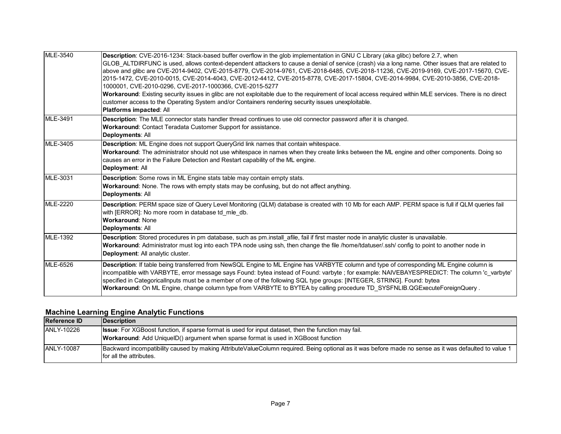| <b>MLE-3540</b> | Description: CVE-2016-1234: Stack-based buffer overflow in the glob implementation in GNU C Library (aka glibc) before 2.7, when<br>GLOB ALTDIRFUNC is used, allows context-dependent attackers to cause a denial of service (crash) via a long name. Other issues that are related to<br>above and glibc are CVE-2014-9402, CVE-2015-8779, CVE-2014-9761, CVE-2018-6485, CVE-2018-11236, CVE-2019-9169, CVE-2017-15670, CVE-<br>2015-1472, CVE-2010-0015, CVE-2014-4043, CVE-2012-4412, CVE-2015-8778, CVE-2017-15804, CVE-2014-9984, CVE-2010-3856, CVE-2018-<br>1000001, CVE-2010-0296, CVE-2017-1000366, CVE-2015-5277<br>Workaround: Existing security issues in glibc are not exploitable due to the requirement of local access required within MLE services. There is no direct<br>customer access to the Operating System and/or Containers rendering security issues unexploitable.<br>Platforms impacted: All |
|-----------------|--------------------------------------------------------------------------------------------------------------------------------------------------------------------------------------------------------------------------------------------------------------------------------------------------------------------------------------------------------------------------------------------------------------------------------------------------------------------------------------------------------------------------------------------------------------------------------------------------------------------------------------------------------------------------------------------------------------------------------------------------------------------------------------------------------------------------------------------------------------------------------------------------------------------------|
| MLE-3491        | Description: The MLE connector stats handler thread continues to use old connector password after it is changed.<br>Workaround: Contact Teradata Customer Support for assistance.<br>Deployments: All                                                                                                                                                                                                                                                                                                                                                                                                                                                                                                                                                                                                                                                                                                                    |
| <b>MLE-3405</b> | Description: ML Engine does not support QueryGrid link names that contain whitespace.<br>Workaround: The administrator should not use whitespace in names when they create links between the ML engine and other components. Doing so<br>causes an error in the Failure Detection and Restart capability of the ML engine.<br>Deployment: All                                                                                                                                                                                                                                                                                                                                                                                                                                                                                                                                                                            |
| MLE-3031        | Description: Some rows in ML Engine stats table may contain empty stats.<br>Workaround: None. The rows with empty stats may be confusing, but do not affect anything.<br>Deployments: All                                                                                                                                                                                                                                                                                                                                                                                                                                                                                                                                                                                                                                                                                                                                |
| <b>MLE-2220</b> | Description: PERM space size of Query Level Monitoring (QLM) database is created with 10 Mb for each AMP. PERM space is full if QLM queries fail<br>with [ERROR]: No more room in database td mle db.<br><b>Workaround: None</b><br>Deployments: All                                                                                                                                                                                                                                                                                                                                                                                                                                                                                                                                                                                                                                                                     |
| <b>MLE-1392</b> | Description: Stored procedures in pm database, such as pm.install_afile, fail if first master node in analytic cluster is unavailable.<br>Workaround: Administrator must log into each TPA node using ssh, then change the file /home/tdatuser/.ssh/ config to point to another node in<br>Deployment: All analytic cluster.                                                                                                                                                                                                                                                                                                                                                                                                                                                                                                                                                                                             |
| <b>MLE-6526</b> | Description: If table being transferred from NewSQL Engine to ML Engine has VARBYTE column and type of corresponding ML Engine column is<br>incompatible with VARBYTE, error message says Found: bytea instead of Found: varbyte; for example: NAIVEBAYESPREDICT: The column 'c varbyte'<br>specified in CategoricalInputs must be a member of one of the following SQL type groups: [INTEGER, STRING]. Found: bytea<br>Workaround: On ML Engine, change column type from VARBYTE to BYTEA by calling procedure TD SYSFNLIB.QGExecuteForeignQuery.                                                                                                                                                                                                                                                                                                                                                                       |

#### **Machine Learning Engine Analytic Functions**

| <b>Reference ID</b> | <b>IDescription</b>                                                                                                                                                              |
|---------------------|----------------------------------------------------------------------------------------------------------------------------------------------------------------------------------|
| ANLY-10226          | <b>Issue:</b> For XGBoost function, if sparse format is used for input dataset, then the function may fail.                                                                      |
|                     | <b>Workaround:</b> Add UniquelD() argument when sparse format is used in XGBoost function                                                                                        |
| ANLY-10087          | Backward incompatibility caused by making AttributeValueColumn required. Being optional as it was before made no sense as it was defaulted to value 1<br>for all the attributes. |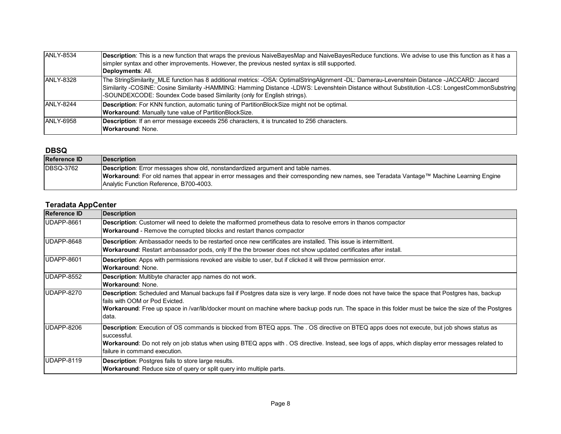| <b>ANLY-8534</b>  | Description: This is a new function that wraps the previous NaiveBayesMap and NaiveBayesReduce functions. We advise to use this function as it has a                                                                                                                                                                                                                      |
|-------------------|---------------------------------------------------------------------------------------------------------------------------------------------------------------------------------------------------------------------------------------------------------------------------------------------------------------------------------------------------------------------------|
|                   | simpler syntax and other improvements. However, the previous nested syntax is still supported.                                                                                                                                                                                                                                                                            |
|                   | Deployments: All.                                                                                                                                                                                                                                                                                                                                                         |
| <b>ANLY-8328</b>  | The StringSimilarity MLE function has 8 additional metrics: -OSA: OptimalStringAlignment -DL: Damerau-Levenshtein Distance -JACCARD: Jaccard<br>Similarity -COSINE: Cosine Similarity -HAMMING: Hamming Distance -LDWS: Levenshtein Distance without Substitution -LCS: LongestCommonSubstring<br>-SOUNDEXCODE: Soundex Code based Similarity (only for English strings). |
| ANLY-8244         | <b>Description:</b> For KNN function, automatic tuning of PartitionBlockSize might not be optimal.<br><b>Workaround:</b> Manually tune value of PartitionBlockSize.                                                                                                                                                                                                       |
| <b>JANLY-6958</b> | <b>Description:</b> If an error message exceeds 256 characters, it is truncated to 256 characters.<br><b>Workaround: None.</b>                                                                                                                                                                                                                                            |

#### **DBSQ**

| <b>Reference ID</b> | Description                                                                                                                              |
|---------------------|------------------------------------------------------------------------------------------------------------------------------------------|
| <b>DBSQ-3762</b>    | Description: Error messages show old, nonstandardized argument and table names.                                                          |
|                     | Workaround: For old names that appear in error messages and their corresponding new names, see Teradata Vantage™ Machine Learning Engine |
|                     | Analytic Function Reference, B700-4003.                                                                                                  |

#### **Teradata AppCenter**

| <b>Reference ID</b> | <b>Description</b>                                                                                                                                                                                                                                                                                                                                      |
|---------------------|---------------------------------------------------------------------------------------------------------------------------------------------------------------------------------------------------------------------------------------------------------------------------------------------------------------------------------------------------------|
| UDAPP-8661          | <b>Description:</b> Customer will need to delete the malformed prometheus data to resolve errors in thanos compactor<br><b>Workaround</b> - Remove the corrupted blocks and restart thanos compactor                                                                                                                                                    |
| UDAPP-8648          | Description: Ambassador needs to be restarted once new certificates are installed. This issue is intermittent.<br>Workaround: Restart ambassador pods, only If the the browser does not show updated certificates after install.                                                                                                                        |
| UDAPP-8601          | <b>Description:</b> Apps with permissions revoked are visible to user, but if clicked it will throw permission error.<br><b>Workaround: None.</b>                                                                                                                                                                                                       |
| UDAPP-8552          | Description: Multibyte character app names do not work.<br>Workaround: None.                                                                                                                                                                                                                                                                            |
| UDAPP-8270          | Description: Scheduled and Manual backups fail if Postgres data size is very large. If node does not have twice the space that Postgres has, backup<br>fails with OOM or Pod Evicted.<br>Workaround: Free up space in /var/lib/docker mount on machine where backup pods run. The space in this folder must be twice the size of the Postgres<br>data.  |
| UDAPP-8206          | Description: Execution of OS commands is blocked from BTEQ apps. The . OS directive on BTEQ apps does not execute, but job shows status as<br>successful.<br><b>Workaround:</b> Do not rely on job status when using BTEQ apps with . OS directive. Instead, see logs of apps, which display error messages related to<br>failure in command execution. |
| UDAPP-8119          | <b>Description:</b> Postgres fails to store large results.<br><b>Workaround:</b> Reduce size of query or split query into multiple parts.                                                                                                                                                                                                               |